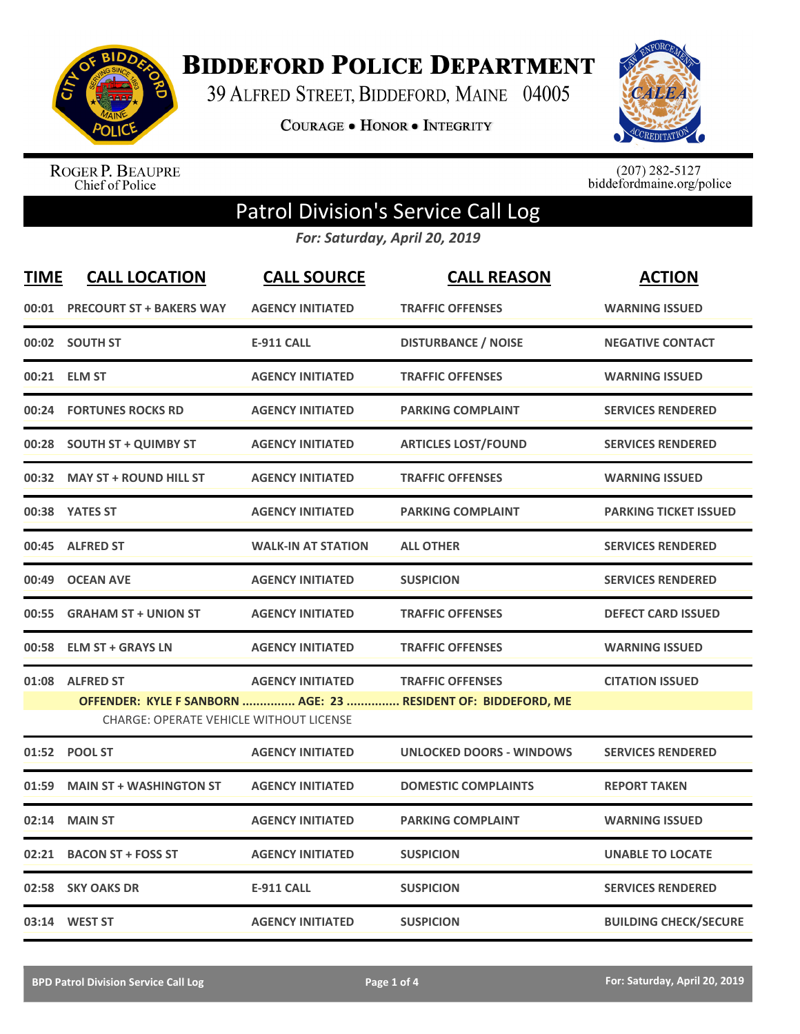

## **BIDDEFORD POLICE DEPARTMENT**

39 ALFRED STREET, BIDDEFORD, MAINE 04005

**COURAGE . HONOR . INTEGRITY** 



ROGER P. BEAUPRE<br>Chief of Police

 $(207)$  282-5127<br>biddefordmaine.org/police

## Patrol Division's Service Call Log

*For: Saturday, April 20, 2019*

| <b>TIME</b>                                    | <b>CALL LOCATION</b>            | <b>CALL SOURCE</b>        | <b>CALL REASON</b>                                            | <b>ACTION</b>                |  |
|------------------------------------------------|---------------------------------|---------------------------|---------------------------------------------------------------|------------------------------|--|
| 00:01                                          | <b>PRECOURT ST + BAKERS WAY</b> | <b>AGENCY INITIATED</b>   | <b>TRAFFIC OFFENSES</b>                                       | <b>WARNING ISSUED</b>        |  |
|                                                | 00:02 SOUTH ST                  | <b>E-911 CALL</b>         | <b>DISTURBANCE / NOISE</b>                                    | <b>NEGATIVE CONTACT</b>      |  |
| 00:21                                          | <b>ELM ST</b>                   | <b>AGENCY INITIATED</b>   | <b>TRAFFIC OFFENSES</b>                                       | <b>WARNING ISSUED</b>        |  |
| 00:24                                          | <b>FORTUNES ROCKS RD</b>        | <b>AGENCY INITIATED</b>   | <b>PARKING COMPLAINT</b>                                      | <b>SERVICES RENDERED</b>     |  |
|                                                | 00:28 SOUTH ST + QUIMBY ST      | <b>AGENCY INITIATED</b>   | <b>ARTICLES LOST/FOUND</b>                                    | <b>SERVICES RENDERED</b>     |  |
| 00:32                                          | <b>MAY ST + ROUND HILL ST</b>   | <b>AGENCY INITIATED</b>   | <b>TRAFFIC OFFENSES</b>                                       | <b>WARNING ISSUED</b>        |  |
|                                                | 00:38 YATES ST                  | <b>AGENCY INITIATED</b>   | <b>PARKING COMPLAINT</b>                                      | <b>PARKING TICKET ISSUED</b> |  |
| 00:45                                          | <b>ALFRED ST</b>                | <b>WALK-IN AT STATION</b> | <b>ALL OTHER</b>                                              | <b>SERVICES RENDERED</b>     |  |
| 00:49                                          | <b>OCEAN AVE</b>                | <b>AGENCY INITIATED</b>   | <b>SUSPICION</b>                                              | <b>SERVICES RENDERED</b>     |  |
| 00:55                                          | <b>GRAHAM ST + UNION ST</b>     | <b>AGENCY INITIATED</b>   | <b>TRAFFIC OFFENSES</b>                                       | <b>DEFECT CARD ISSUED</b>    |  |
| 00:58                                          | <b>ELM ST + GRAYS LN</b>        | <b>AGENCY INITIATED</b>   | <b>TRAFFIC OFFENSES</b>                                       | <b>WARNING ISSUED</b>        |  |
| 01:08                                          | <b>ALFRED ST</b>                | <b>AGENCY INITIATED</b>   | <b>TRAFFIC OFFENSES</b>                                       | <b>CITATION ISSUED</b>       |  |
|                                                |                                 |                           | OFFENDER: KYLE F SANBORN  AGE: 23  RESIDENT OF: BIDDEFORD, ME |                              |  |
| <b>CHARGE: OPERATE VEHICLE WITHOUT LICENSE</b> |                                 |                           |                                                               |                              |  |
| 01:52                                          | <b>POOL ST</b>                  | <b>AGENCY INITIATED</b>   | <b>UNLOCKED DOORS - WINDOWS</b>                               | <b>SERVICES RENDERED</b>     |  |
| 01:59                                          | <b>MAIN ST + WASHINGTON ST</b>  | <b>AGENCY INITIATED</b>   | <b>DOMESTIC COMPLAINTS</b>                                    | <b>REPORT TAKEN</b>          |  |
| 02:14                                          | <b>MAIN ST</b>                  | <b>AGENCY INITIATED</b>   | <b>PARKING COMPLAINT</b>                                      | <b>WARNING ISSUED</b>        |  |
| 02:21                                          | <b>BACON ST + FOSS ST</b>       | <b>AGENCY INITIATED</b>   | <b>SUSPICION</b>                                              | <b>UNABLE TO LOCATE</b>      |  |
| 02:58                                          | <b>SKY OAKS DR</b>              | <b>E-911 CALL</b>         | <b>SUSPICION</b>                                              | <b>SERVICES RENDERED</b>     |  |
|                                                | 03:14 WEST ST                   | <b>AGENCY INITIATED</b>   | <b>SUSPICION</b>                                              | <b>BUILDING CHECK/SECURE</b> |  |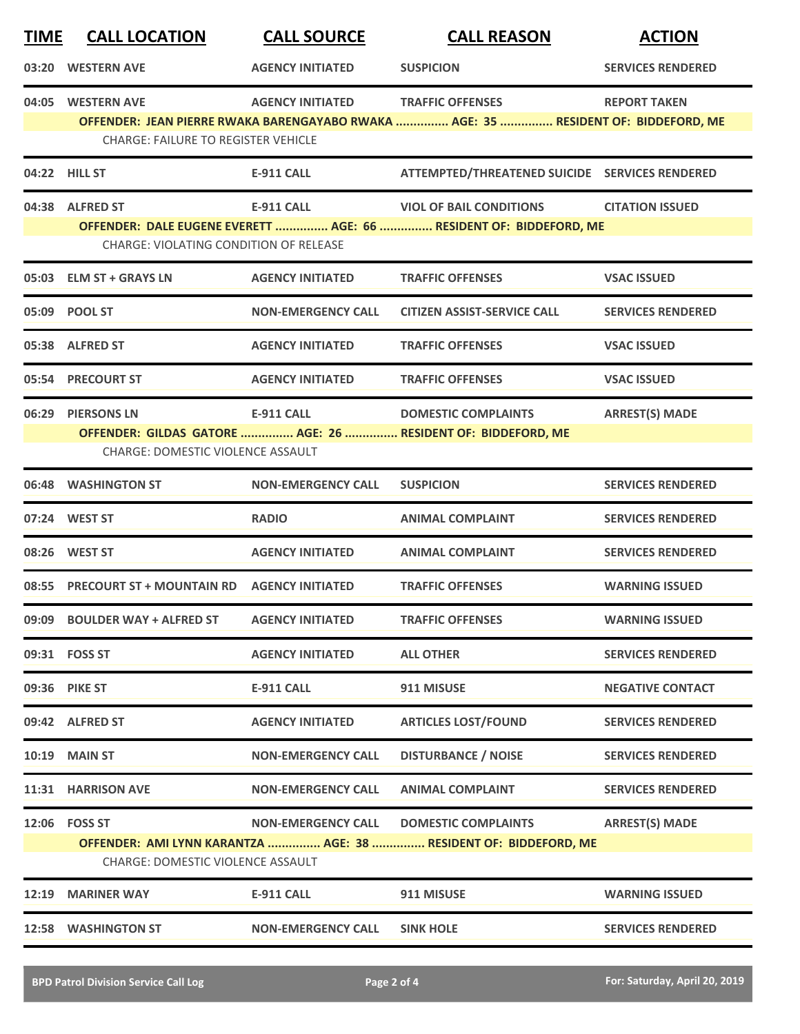| <b>TIME</b> | <b>CALL LOCATION</b>                                            | <b>CALL SOURCE</b>        | <b>CALL REASON</b>                                                                                            | <b>ACTION</b>            |
|-------------|-----------------------------------------------------------------|---------------------------|---------------------------------------------------------------------------------------------------------------|--------------------------|
| 03:20       | <b>WESTERN AVE</b>                                              | <b>AGENCY INITIATED</b>   | <b>SUSPICION</b>                                                                                              | <b>SERVICES RENDERED</b> |
|             | 04:05 WESTERN AVE<br><b>CHARGE: FAILURE TO REGISTER VEHICLE</b> | <b>AGENCY INITIATED</b>   | <b>TRAFFIC OFFENSES</b><br>OFFENDER: JEAN PIERRE RWAKA BARENGAYABO RWAKA  AGE: 35  RESIDENT OF: BIDDEFORD, ME | <b>REPORT TAKEN</b>      |
|             | 04:22 HILL ST                                                   | <b>E-911 CALL</b>         | ATTEMPTED/THREATENED SUICIDE SERVICES RENDERED                                                                |                          |
|             | 04:38 ALFRED ST<br>CHARGE: VIOLATING CONDITION OF RELEASE       | <b>E-911 CALL</b>         | <b>VIOL OF BAIL CONDITIONS</b><br>OFFENDER: DALE EUGENE EVERETT  AGE: 66  RESIDENT OF: BIDDEFORD, ME          | <b>CITATION ISSUED</b>   |
|             | 05:03 ELM ST + GRAYS LN                                         | <b>AGENCY INITIATED</b>   | <b>TRAFFIC OFFENSES</b>                                                                                       | <b>VSAC ISSUED</b>       |
|             | 05:09 POOL ST                                                   | <b>NON-EMERGENCY CALL</b> | <b>CITIZEN ASSIST-SERVICE CALL</b>                                                                            | <b>SERVICES RENDERED</b> |
|             | 05:38 ALFRED ST                                                 | <b>AGENCY INITIATED</b>   | <b>TRAFFIC OFFENSES</b>                                                                                       | <b>VSAC ISSUED</b>       |
|             | 05:54 PRECOURT ST                                               | <b>AGENCY INITIATED</b>   | <b>TRAFFIC OFFENSES</b>                                                                                       | <b>VSAC ISSUED</b>       |
| 06:29       | <b>PIERSONS LN</b><br><b>CHARGE: DOMESTIC VIOLENCE ASSAULT</b>  | <b>E-911 CALL</b>         | <b>DOMESTIC COMPLAINTS</b><br>OFFENDER: GILDAS GATORE  AGE: 26  RESIDENT OF: BIDDEFORD, ME                    | <b>ARREST(S) MADE</b>    |
| 06:48       | <b>WASHINGTON ST</b>                                            | <b>NON-EMERGENCY CALL</b> | <b>SUSPICION</b>                                                                                              | <b>SERVICES RENDERED</b> |
|             | 07:24 WEST ST                                                   | <b>RADIO</b>              | <b>ANIMAL COMPLAINT</b>                                                                                       | <b>SERVICES RENDERED</b> |
|             | 08:26 WEST ST                                                   | <b>AGENCY INITIATED</b>   | <b>ANIMAL COMPLAINT</b>                                                                                       | <b>SERVICES RENDERED</b> |
|             | 08:55 PRECOURT ST + MOUNTAIN RD AGENCY INITIATED                |                           | <b>TRAFFIC OFFENSES</b>                                                                                       | <b>WARNING ISSUED</b>    |
|             | 09:09 BOULDER WAY + ALFRED ST                                   | <b>AGENCY INITIATED</b>   | <b>TRAFFIC OFFENSES</b>                                                                                       | <b>WARNING ISSUED</b>    |
|             | 09:31 FOSS ST                                                   | <b>AGENCY INITIATED</b>   | <b>ALL OTHER</b>                                                                                              | <b>SERVICES RENDERED</b> |
|             | 09:36 PIKE ST                                                   | <b>E-911 CALL</b>         | 911 MISUSE                                                                                                    | <b>NEGATIVE CONTACT</b>  |
|             | 09:42 ALFRED ST                                                 | <b>AGENCY INITIATED</b>   | <b>ARTICLES LOST/FOUND</b>                                                                                    | <b>SERVICES RENDERED</b> |
|             | <b>10:19 MAIN ST</b>                                            | <b>NON-EMERGENCY CALL</b> | <b>DISTURBANCE / NOISE</b>                                                                                    | <b>SERVICES RENDERED</b> |
|             | 11:31 HARRISON AVE                                              | <b>NON-EMERGENCY CALL</b> | <b>ANIMAL COMPLAINT</b>                                                                                       | <b>SERVICES RENDERED</b> |
|             | 12:06  FOSS ST<br><b>CHARGE: DOMESTIC VIOLENCE ASSAULT</b>      | <b>NON-EMERGENCY CALL</b> | <b>DOMESTIC COMPLAINTS</b><br>OFFENDER: AMI LYNN KARANTZA  AGE: 38  RESIDENT OF: BIDDEFORD, ME                | <b>ARREST(S) MADE</b>    |
| 12:19       | <b>MARINER WAY</b>                                              | <b>E-911 CALL</b>         | 911 MISUSE                                                                                                    | <b>WARNING ISSUED</b>    |
|             | 12:58 WASHINGTON ST                                             | <b>NON-EMERGENCY CALL</b> | <b>SINK HOLE</b>                                                                                              | <b>SERVICES RENDERED</b> |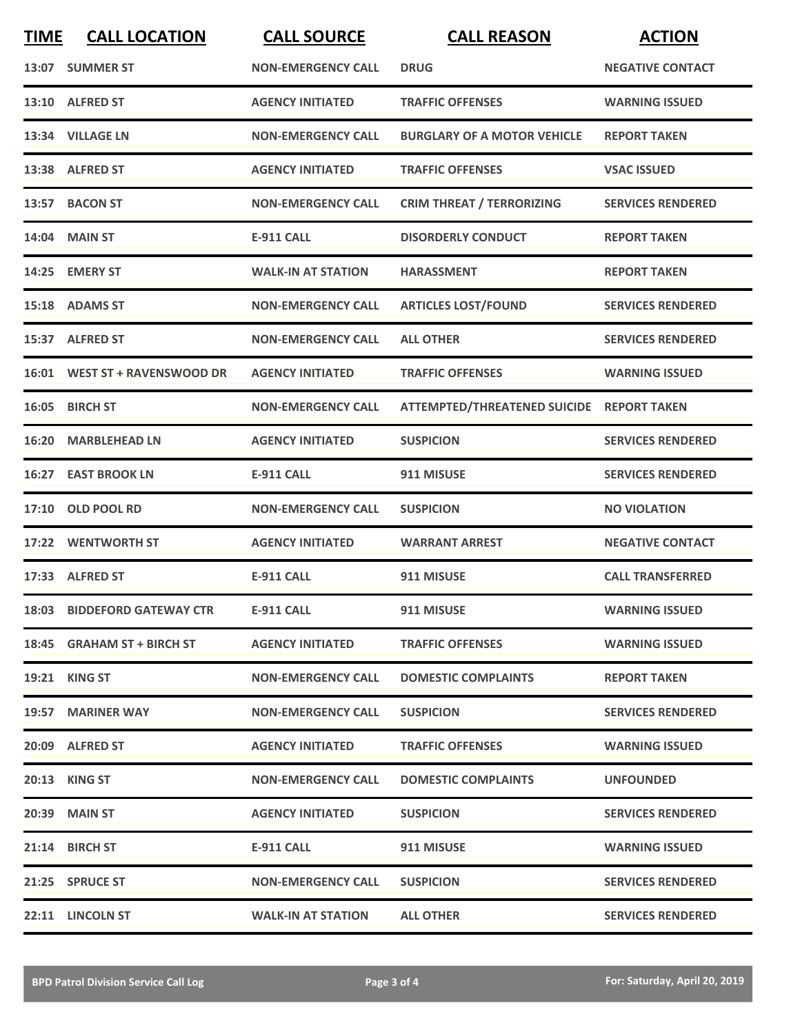| <b>TIME</b> | <b>CALL LOCATION</b>          | <b>CALL SOURCE</b>        | <b>CALL REASON</b>                        | <b>ACTION</b>            |
|-------------|-------------------------------|---------------------------|-------------------------------------------|--------------------------|
|             | 13:07 SUMMER ST               | <b>NON-EMERGENCY CALL</b> | <b>DRUG</b>                               | <b>NEGATIVE CONTACT</b>  |
|             | 13:10 ALFRED ST               | <b>AGENCY INITIATED</b>   | <b>TRAFFIC OFFENSES</b>                   | <b>WARNING ISSUED</b>    |
|             | 13:34 VILLAGE LN              | <b>NON-EMERGENCY CALL</b> | <b>BURGLARY OF A MOTOR VEHICLE</b>        | <b>REPORT TAKEN</b>      |
|             | 13:38 ALFRED ST               | <b>AGENCY INITIATED</b>   | <b>TRAFFIC OFFENSES</b>                   | <b>VSAC ISSUED</b>       |
|             | 13:57 BACON ST                | <b>NON-EMERGENCY CALL</b> | <b>CRIM THREAT / TERRORIZING</b>          | <b>SERVICES RENDERED</b> |
|             | 14:04 MAIN ST                 | <b>E-911 CALL</b>         | <b>DISORDERLY CONDUCT</b>                 | <b>REPORT TAKEN</b>      |
|             | 14:25 EMERY ST                | <b>WALK-IN AT STATION</b> | <b>HARASSMENT</b>                         | <b>REPORT TAKEN</b>      |
|             | 15:18 ADAMS ST                | <b>NON-EMERGENCY CALL</b> | <b>ARTICLES LOST/FOUND</b>                | <b>SERVICES RENDERED</b> |
|             | 15:37 ALFRED ST               | <b>NON-EMERGENCY CALL</b> | <b>ALL OTHER</b>                          | <b>SERVICES RENDERED</b> |
|             | 16:01 WEST ST + RAVENSWOOD DR | <b>AGENCY INITIATED</b>   | <b>TRAFFIC OFFENSES</b>                   | <b>WARNING ISSUED</b>    |
|             | 16:05 BIRCH ST                | <b>NON-EMERGENCY CALL</b> | ATTEMPTED/THREATENED SUICIDE REPORT TAKEN |                          |
| 16:20       | <b>MARBLEHEAD LN</b>          | <b>AGENCY INITIATED</b>   | <b>SUSPICION</b>                          | <b>SERVICES RENDERED</b> |
| 16:27       | <b>EAST BROOK LN</b>          | <b>E-911 CALL</b>         | 911 MISUSE                                | <b>SERVICES RENDERED</b> |
| 17:10       | <b>OLD POOL RD</b>            | <b>NON-EMERGENCY CALL</b> | <b>SUSPICION</b>                          | <b>NO VIOLATION</b>      |
|             | 17:22 WENTWORTH ST            | <b>AGENCY INITIATED</b>   | <b>WARRANT ARREST</b>                     | <b>NEGATIVE CONTACT</b>  |
|             | 17:33 ALFRED ST               | <b>E-911 CALL</b>         | 911 MISUSE                                | <b>CALL TRANSFERRED</b>  |
|             | 18:03 BIDDEFORD GATEWAY CTR   | <b>E-911 CALL</b>         | 911 MISUSE                                | <b>WARNING ISSUED</b>    |
|             | 18:45 GRAHAM ST + BIRCH ST    | <b>AGENCY INITIATED</b>   | <b>TRAFFIC OFFENSES</b>                   | <b>WARNING ISSUED</b>    |
|             | 19:21 KING ST                 | <b>NON-EMERGENCY CALL</b> | <b>DOMESTIC COMPLAINTS</b>                | <b>REPORT TAKEN</b>      |
|             | 19:57 MARINER WAY             | <b>NON-EMERGENCY CALL</b> | <b>SUSPICION</b>                          | <b>SERVICES RENDERED</b> |
|             | 20:09 ALFRED ST               | <b>AGENCY INITIATED</b>   | <b>TRAFFIC OFFENSES</b>                   | <b>WARNING ISSUED</b>    |
|             | 20:13 KING ST                 | <b>NON-EMERGENCY CALL</b> | <b>DOMESTIC COMPLAINTS</b>                | <b>UNFOUNDED</b>         |
|             | 20:39 MAIN ST                 | <b>AGENCY INITIATED</b>   | <b>SUSPICION</b>                          | <b>SERVICES RENDERED</b> |
|             | 21:14 BIRCH ST                | E-911 CALL                | 911 MISUSE                                | <b>WARNING ISSUED</b>    |
|             | 21:25 SPRUCE ST               | <b>NON-EMERGENCY CALL</b> | <b>SUSPICION</b>                          | <b>SERVICES RENDERED</b> |
|             | 22:11 LINCOLN ST              | <b>WALK-IN AT STATION</b> | <b>ALL OTHER</b>                          | <b>SERVICES RENDERED</b> |